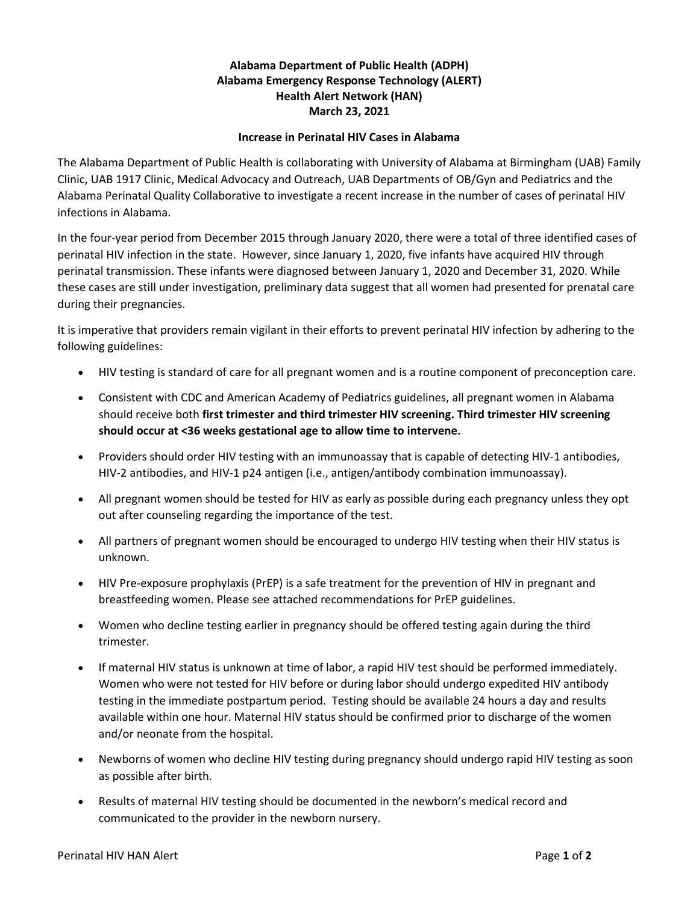## **Alabama Department of Public Health (ADPH) Alabama Emergency Response Technology (ALERT) Health Alert Network (HAN) March 23, 2021**

## **Increase in Perinatal HIV Cases in Alabama**

The Alabama Department of Public Health is collaborating with University of Alabama at Birmingham (UAB) Family Clinic, UAB 1917 Clinic, Medical Advocacy and Outreach, UAB Departments of OB/Gyn and Pediatrics and the Alabama Perinatal Quality Collaborative to investigate a recent increase in the number of cases of perinatal HIV infections in Alabama.

In the four-year period from December 2015 through January 2020, there were a total of three identified cases of perinatal HIV infection in the state. However, since January 1, 2020, five infants have acquired HIV through perinatal transmission. These infants were diagnosed between January 1, 2020 and December 31, 2020. While these cases are still under investigation, preliminary data suggest that all women had presented for prenatal care during their pregnancies.

It is imperative that providers remain vigilant in their efforts to prevent perinatal HIV infection by adhering to the following guidelines:

- HIV testing is standard of care for all pregnant women and is a routine component of preconception care.
- Consistent with CDC and American Academy of Pediatrics guidelines, all pregnant women in Alabama should receive both **first trimester and third trimester HIV screening. Third trimester HIV screening should occur at <36 weeks gestational age to allow time to intervene.**
- Providers should order HIV testing with an immunoassay that is capable of detecting HIV-1 antibodies, HIV-2 antibodies, and HIV-1 p24 antigen (i.e., antigen/antibody combination immunoassay).
- All pregnant women should be tested for HIV as early as possible during each pregnancy unless they opt out after counseling regarding the importance of the test.
- All partners of pregnant women should be encouraged to undergo HIV testing when their HIV status is unknown.
- HIV Pre-exposure prophylaxis (PrEP) is a safe treatment for the prevention of HIV in pregnant and breastfeeding women. Please see attached recommendations for PrEP guidelines.
- Women who decline testing earlier in pregnancy should be offered testing again during the third trimester.
- If maternal HIV status is unknown at time of labor, a rapid HIV test should be performed immediately. Women who were not tested for HIV before or during labor should undergo expedited HIV antibody testing in the immediate postpartum period. Testing should be available 24 hours a day and results available within one hour. Maternal HIV status should be confirmed prior to discharge of the women and/or neonate from the hospital.
- Newborns of women who decline HIV testing during pregnancy should undergo rapid HIV testing as soon as possible after birth.
- Results of maternal HIV testing should be documented in the newborn's medical record and communicated to the provider in the newborn nursery.